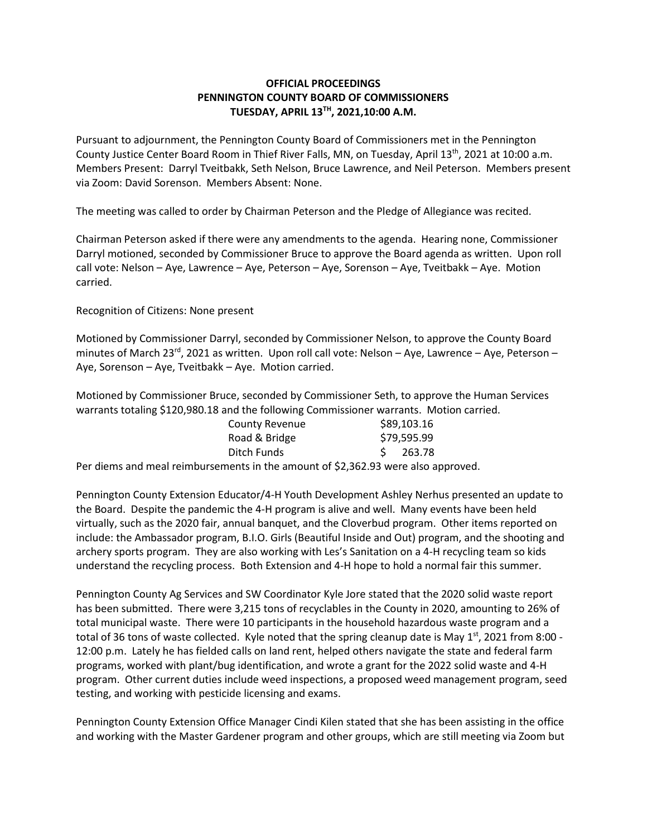## **OFFICIAL PROCEEDINGS PENNINGTON COUNTY BOARD OF COMMISSIONERS TUESDAY, APRIL 13TH , 2021,10:00 A.M.**

Pursuant to adjournment, the Pennington County Board of Commissioners met in the Pennington County Justice Center Board Room in Thief River Falls, MN, on Tuesday, April 13<sup>th</sup>, 2021 at 10:00 a.m. Members Present: Darryl Tveitbakk, Seth Nelson, Bruce Lawrence, and Neil Peterson. Members present via Zoom: David Sorenson. Members Absent: None.

The meeting was called to order by Chairman Peterson and the Pledge of Allegiance was recited.

Chairman Peterson asked if there were any amendments to the agenda. Hearing none, Commissioner Darryl motioned, seconded by Commissioner Bruce to approve the Board agenda as written. Upon roll call vote: Nelson – Aye, Lawrence – Aye, Peterson – Aye, Sorenson – Aye, Tveitbakk – Aye. Motion carried.

Recognition of Citizens: None present

Motioned by Commissioner Darryl, seconded by Commissioner Nelson, to approve the County Board minutes of March 23<sup>rd</sup>, 2021 as written. Upon roll call vote: Nelson – Aye, Lawrence – Aye, Peterson – Aye, Sorenson – Aye, Tveitbakk – Aye. Motion carried.

Motioned by Commissioner Bruce, seconded by Commissioner Seth, to approve the Human Services warrants totaling \$120,980.18 and the following Commissioner warrants. Motion carried.

| <b>County Revenue</b> | \$89,103.16  |
|-----------------------|--------------|
| Road & Bridge         | \$79,595.99  |
| Ditch Funds           | 263.78<br>S. |
|                       |              |

Per diems and meal reimbursements in the amount of \$2,362.93 were also approved.

Pennington County Extension Educator/4-H Youth Development Ashley Nerhus presented an update to the Board. Despite the pandemic the 4-H program is alive and well. Many events have been held virtually, such as the 2020 fair, annual banquet, and the Cloverbud program. Other items reported on include: the Ambassador program, B.I.O. Girls (Beautiful Inside and Out) program, and the shooting and archery sports program. They are also working with Les's Sanitation on a 4-H recycling team so kids understand the recycling process. Both Extension and 4-H hope to hold a normal fair this summer.

Pennington County Ag Services and SW Coordinator Kyle Jore stated that the 2020 solid waste report has been submitted. There were 3,215 tons of recyclables in the County in 2020, amounting to 26% of total municipal waste. There were 10 participants in the household hazardous waste program and a total of 36 tons of waste collected. Kyle noted that the spring cleanup date is May 1<sup>st</sup>, 2021 from 8:00 -12:00 p.m. Lately he has fielded calls on land rent, helped others navigate the state and federal farm programs, worked with plant/bug identification, and wrote a grant for the 2022 solid waste and 4-H program. Other current duties include weed inspections, a proposed weed management program, seed testing, and working with pesticide licensing and exams.

Pennington County Extension Office Manager Cindi Kilen stated that she has been assisting in the office and working with the Master Gardener program and other groups, which are still meeting via Zoom but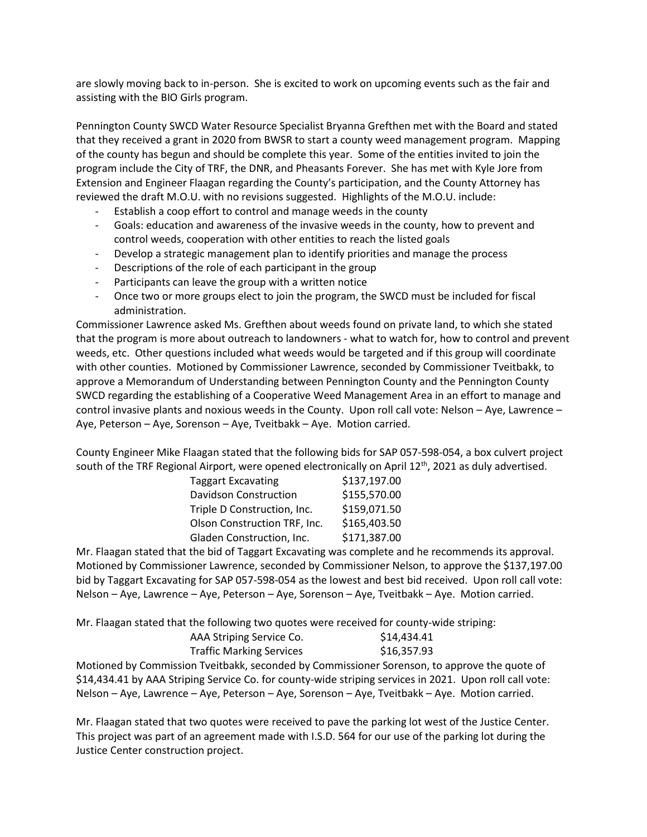are slowly moving back to in-person. She is excited to work on upcoming events such as the fair and assisting with the BIO Girls program.

Pennington County SWCD Water Resource Specialist Bryanna Grefthen met with the Board and stated that they received a grant in 2020 from BWSR to start a county weed management program. Mapping of the county has begun and should be complete this year. Some of the entities invited to join the program include the City of TRF, the DNR, and Pheasants Forever. She has met with Kyle Jore from Extension and Engineer Flaagan regarding the County's participation, and the County Attorney has reviewed the draft M.O.U. with no revisions suggested. Highlights of the M.O.U. include:

- Establish a coop effort to control and manage weeds in the county
- Goals: education and awareness of the invasive weeds in the county, how to prevent and control weeds, cooperation with other entities to reach the listed goals
- Develop a strategic management plan to identify priorities and manage the process
- Descriptions of the role of each participant in the group
- Participants can leave the group with a written notice
- Once two or more groups elect to join the program, the SWCD must be included for fiscal administration.

Commissioner Lawrence asked Ms. Grefthen about weeds found on private land, to which she stated that the program is more about outreach to landowners - what to watch for, how to control and prevent weeds, etc. Other questions included what weeds would be targeted and if this group will coordinate with other counties. Motioned by Commissioner Lawrence, seconded by Commissioner Tveitbakk, to approve a Memorandum of Understanding between Pennington County and the Pennington County SWCD regarding the establishing of a Cooperative Weed Management Area in an effort to manage and control invasive plants and noxious weeds in the County. Upon roll call vote: Nelson – Aye, Lawrence – Aye, Peterson – Aye, Sorenson – Aye, Tveitbakk – Aye. Motion carried.

County Engineer Mike Flaagan stated that the following bids for SAP 057-598-054, a box culvert project south of the TRF Regional Airport, were opened electronically on April  $12<sup>th</sup>$ , 2021 as duly advertised.

| Taggart Excavating           | \$137,197.00 |
|------------------------------|--------------|
| <b>Davidson Construction</b> | \$155,570.00 |
| Triple D Construction, Inc.  | \$159,071.50 |
| Olson Construction TRF, Inc. | \$165,403.50 |
| Gladen Construction, Inc.    | \$171,387.00 |

Mr. Flaagan stated that the bid of Taggart Excavating was complete and he recommends its approval. Motioned by Commissioner Lawrence, seconded by Commissioner Nelson, to approve the \$137,197.00 bid by Taggart Excavating for SAP 057-598-054 as the lowest and best bid received. Upon roll call vote: Nelson – Aye, Lawrence – Aye, Peterson – Aye, Sorenson – Aye, Tveitbakk – Aye. Motion carried.

Mr. Flaagan stated that the following two quotes were received for county-wide striping:

| AAA Striping Service Co.        | \$14,434.41 |
|---------------------------------|-------------|
| <b>Traffic Marking Services</b> | \$16,357.93 |

Motioned by Commission Tveitbakk, seconded by Commissioner Sorenson, to approve the quote of \$14,434.41 by AAA Striping Service Co. for county-wide striping services in 2021. Upon roll call vote: Nelson – Aye, Lawrence – Aye, Peterson – Aye, Sorenson – Aye, Tveitbakk – Aye. Motion carried.

Mr. Flaagan stated that two quotes were received to pave the parking lot west of the Justice Center. This project was part of an agreement made with I.S.D. 564 for our use of the parking lot during the Justice Center construction project.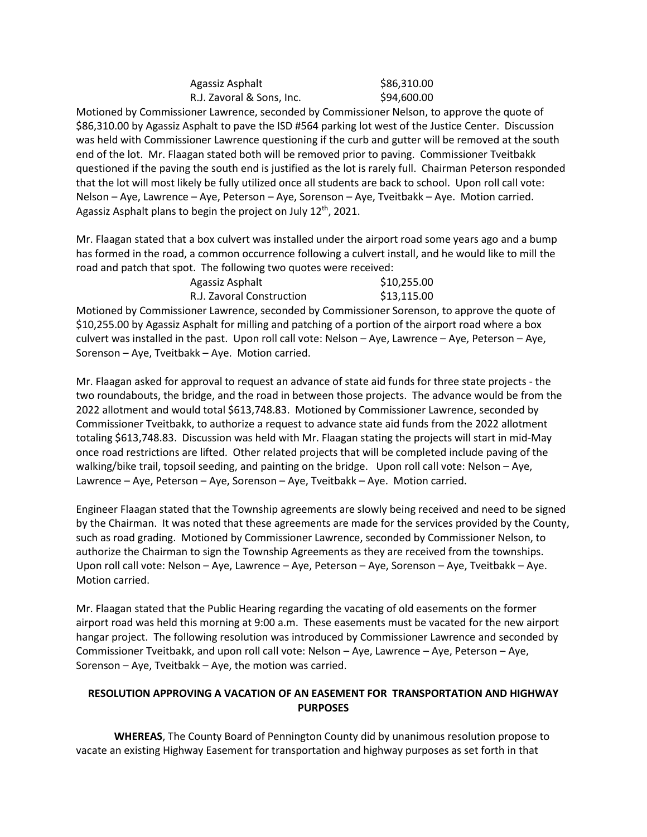| Agassiz Asphalt           | \$86,310.00 |
|---------------------------|-------------|
| R.J. Zavoral & Sons, Inc. | \$94,600.00 |

Motioned by Commissioner Lawrence, seconded by Commissioner Nelson, to approve the quote of \$86,310.00 by Agassiz Asphalt to pave the ISD #564 parking lot west of the Justice Center. Discussion was held with Commissioner Lawrence questioning if the curb and gutter will be removed at the south end of the lot. Mr. Flaagan stated both will be removed prior to paving. Commissioner Tveitbakk questioned if the paving the south end is justified as the lot is rarely full. Chairman Peterson responded that the lot will most likely be fully utilized once all students are back to school. Upon roll call vote: Nelson – Aye, Lawrence – Aye, Peterson – Aye, Sorenson – Aye, Tveitbakk – Aye. Motion carried. Agassiz Asphalt plans to begin the project on July 12<sup>th</sup>, 2021.

Mr. Flaagan stated that a box culvert was installed under the airport road some years ago and a bump has formed in the road, a common occurrence following a culvert install, and he would like to mill the road and patch that spot. The following two quotes were received:

| Agassiz Asphalt           | \$10,255.00 |
|---------------------------|-------------|
| R.J. Zavoral Construction | \$13,115.00 |

Motioned by Commissioner Lawrence, seconded by Commissioner Sorenson, to approve the quote of \$10,255.00 by Agassiz Asphalt for milling and patching of a portion of the airport road where a box culvert was installed in the past. Upon roll call vote: Nelson – Aye, Lawrence – Aye, Peterson – Aye, Sorenson – Aye, Tveitbakk – Aye. Motion carried.

Mr. Flaagan asked for approval to request an advance of state aid funds for three state projects - the two roundabouts, the bridge, and the road in between those projects. The advance would be from the 2022 allotment and would total \$613,748.83. Motioned by Commissioner Lawrence, seconded by Commissioner Tveitbakk, to authorize a request to advance state aid funds from the 2022 allotment totaling \$613,748.83. Discussion was held with Mr. Flaagan stating the projects will start in mid-May once road restrictions are lifted. Other related projects that will be completed include paving of the walking/bike trail, topsoil seeding, and painting on the bridge. Upon roll call vote: Nelson – Aye, Lawrence – Aye, Peterson – Aye, Sorenson – Aye, Tveitbakk – Aye. Motion carried.

Engineer Flaagan stated that the Township agreements are slowly being received and need to be signed by the Chairman. It was noted that these agreements are made for the services provided by the County, such as road grading. Motioned by Commissioner Lawrence, seconded by Commissioner Nelson, to authorize the Chairman to sign the Township Agreements as they are received from the townships. Upon roll call vote: Nelson – Aye, Lawrence – Aye, Peterson – Aye, Sorenson – Aye, Tveitbakk – Aye. Motion carried.

Mr. Flaagan stated that the Public Hearing regarding the vacating of old easements on the former airport road was held this morning at 9:00 a.m. These easements must be vacated for the new airport hangar project. The following resolution was introduced by Commissioner Lawrence and seconded by Commissioner Tveitbakk, and upon roll call vote: Nelson – Aye, Lawrence – Aye, Peterson – Aye, Sorenson – Aye, Tveitbakk – Aye, the motion was carried.

## **RESOLUTION APPROVING A VACATION OF AN EASEMENT FOR TRANSPORTATION AND HIGHWAY PURPOSES**

**WHEREAS**, The County Board of Pennington County did by unanimous resolution propose to vacate an existing Highway Easement for transportation and highway purposes as set forth in that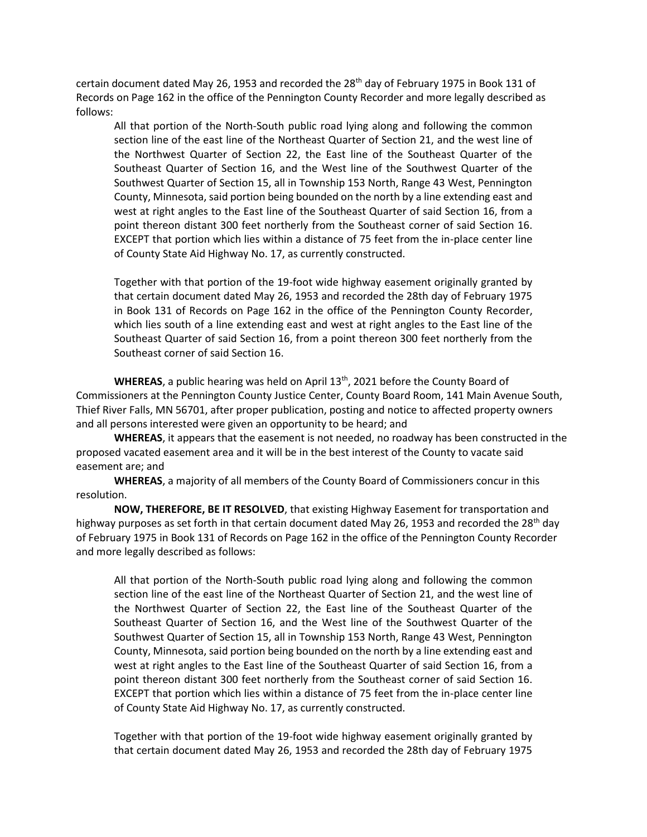certain document dated May 26, 1953 and recorded the  $28<sup>th</sup>$  day of February 1975 in Book 131 of Records on Page 162 in the office of the Pennington County Recorder and more legally described as follows:

All that portion of the North-South public road lying along and following the common section line of the east line of the Northeast Quarter of Section 21, and the west line of the Northwest Quarter of Section 22, the East line of the Southeast Quarter of the Southeast Quarter of Section 16, and the West line of the Southwest Quarter of the Southwest Quarter of Section 15, all in Township 153 North, Range 43 West, Pennington County, Minnesota, said portion being bounded on the north by a line extending east and west at right angles to the East line of the Southeast Quarter of said Section 16, from a point thereon distant 300 feet northerly from the Southeast corner of said Section 16. EXCEPT that portion which lies within a distance of 75 feet from the in-place center line of County State Aid Highway No. 17, as currently constructed.

Together with that portion of the 19-foot wide highway easement originally granted by that certain document dated May 26, 1953 and recorded the 28th day of February 1975 in Book 131 of Records on Page 162 in the office of the Pennington County Recorder, which lies south of a line extending east and west at right angles to the East line of the Southeast Quarter of said Section 16, from a point thereon 300 feet northerly from the Southeast corner of said Section 16.

**WHEREAS**, a public hearing was held on April 13th, 2021 before the County Board of Commissioners at the Pennington County Justice Center, County Board Room, 141 Main Avenue South, Thief River Falls, MN 56701, after proper publication, posting and notice to affected property owners and all persons interested were given an opportunity to be heard; and

**WHEREAS**, it appears that the easement is not needed, no roadway has been constructed in the proposed vacated easement area and it will be in the best interest of the County to vacate said easement are; and

**WHEREAS**, a majority of all members of the County Board of Commissioners concur in this resolution.

**NOW, THEREFORE, BE IT RESOLVED**, that existing Highway Easement for transportation and highway purposes as set forth in that certain document dated May 26, 1953 and recorded the 28<sup>th</sup> day of February 1975 in Book 131 of Records on Page 162 in the office of the Pennington County Recorder and more legally described as follows:

All that portion of the North-South public road lying along and following the common section line of the east line of the Northeast Quarter of Section 21, and the west line of the Northwest Quarter of Section 22, the East line of the Southeast Quarter of the Southeast Quarter of Section 16, and the West line of the Southwest Quarter of the Southwest Quarter of Section 15, all in Township 153 North, Range 43 West, Pennington County, Minnesota, said portion being bounded on the north by a line extending east and west at right angles to the East line of the Southeast Quarter of said Section 16, from a point thereon distant 300 feet northerly from the Southeast corner of said Section 16. EXCEPT that portion which lies within a distance of 75 feet from the in-place center line of County State Aid Highway No. 17, as currently constructed.

Together with that portion of the 19-foot wide highway easement originally granted by that certain document dated May 26, 1953 and recorded the 28th day of February 1975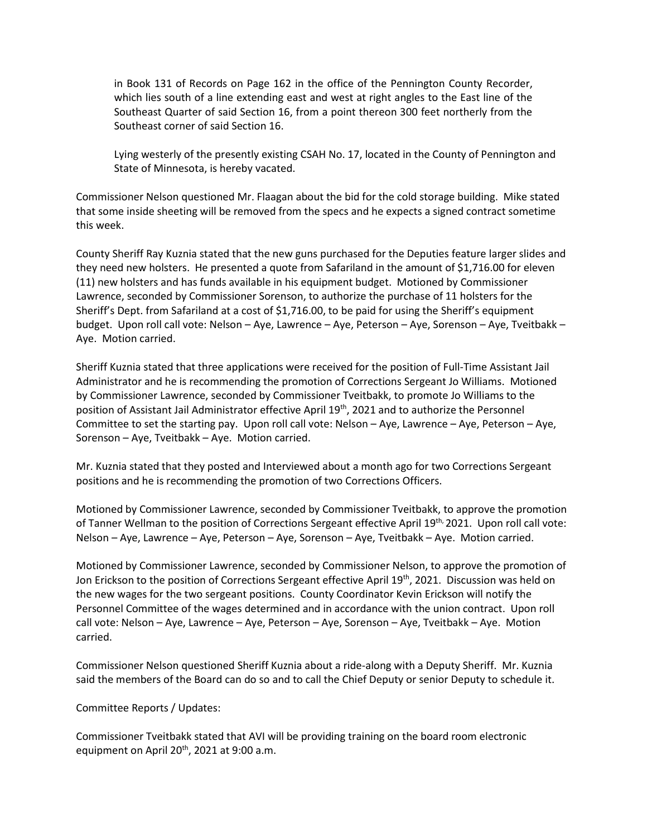in Book 131 of Records on Page 162 in the office of the Pennington County Recorder, which lies south of a line extending east and west at right angles to the East line of the Southeast Quarter of said Section 16, from a point thereon 300 feet northerly from the Southeast corner of said Section 16.

Lying westerly of the presently existing CSAH No. 17, located in the County of Pennington and State of Minnesota, is hereby vacated.

Commissioner Nelson questioned Mr. Flaagan about the bid for the cold storage building. Mike stated that some inside sheeting will be removed from the specs and he expects a signed contract sometime this week.

County Sheriff Ray Kuznia stated that the new guns purchased for the Deputies feature larger slides and they need new holsters. He presented a quote from Safariland in the amount of \$1,716.00 for eleven (11) new holsters and has funds available in his equipment budget. Motioned by Commissioner Lawrence, seconded by Commissioner Sorenson, to authorize the purchase of 11 holsters for the Sheriff's Dept. from Safariland at a cost of \$1,716.00, to be paid for using the Sheriff's equipment budget. Upon roll call vote: Nelson – Aye, Lawrence – Aye, Peterson – Aye, Sorenson – Aye, Tveitbakk – Aye. Motion carried.

Sheriff Kuznia stated that three applications were received for the position of Full-Time Assistant Jail Administrator and he is recommending the promotion of Corrections Sergeant Jo Williams. Motioned by Commissioner Lawrence, seconded by Commissioner Tveitbakk, to promote Jo Williams to the position of Assistant Jail Administrator effective April 19th, 2021 and to authorize the Personnel Committee to set the starting pay. Upon roll call vote: Nelson – Aye, Lawrence – Aye, Peterson – Aye, Sorenson – Aye, Tveitbakk – Aye. Motion carried.

Mr. Kuznia stated that they posted and Interviewed about a month ago for two Corrections Sergeant positions and he is recommending the promotion of two Corrections Officers.

Motioned by Commissioner Lawrence, seconded by Commissioner Tveitbakk, to approve the promotion of Tanner Wellman to the position of Corrections Sergeant effective April 19<sup>th,</sup> 2021. Upon roll call vote: Nelson – Aye, Lawrence – Aye, Peterson – Aye, Sorenson – Aye, Tveitbakk – Aye. Motion carried.

Motioned by Commissioner Lawrence, seconded by Commissioner Nelson, to approve the promotion of Jon Erickson to the position of Corrections Sergeant effective April 19<sup>th</sup>, 2021. Discussion was held on the new wages for the two sergeant positions. County Coordinator Kevin Erickson will notify the Personnel Committee of the wages determined and in accordance with the union contract. Upon roll call vote: Nelson – Aye, Lawrence – Aye, Peterson – Aye, Sorenson – Aye, Tveitbakk – Aye. Motion carried.

Commissioner Nelson questioned Sheriff Kuznia about a ride-along with a Deputy Sheriff. Mr. Kuznia said the members of the Board can do so and to call the Chief Deputy or senior Deputy to schedule it.

Committee Reports / Updates:

Commissioner Tveitbakk stated that AVI will be providing training on the board room electronic equipment on April  $20^{th}$ , 2021 at 9:00 a.m.